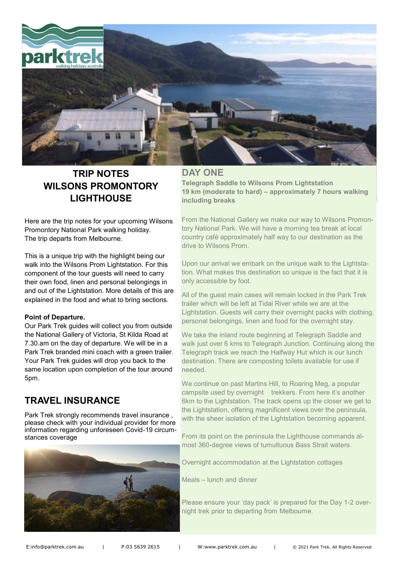

# **TRIP NOTES WILSONS PROMONTORY LIGHTHOUSE**

Here are the trip notes for your upcoming Wilsons Promontory National Park walking holiday. The trip departs from Melbourne.

This is a unique trip with the highlight being our walk into the Wilsons Prom Lightstation. For this component of the tour guests will need to carry their own food, linen and personal belongings in and out of the Lightstation. More details of this are explained in the food and what to bring sections.

#### **Point of Departure.**

Our Park Trek guides will collect you from outside the National Gallery of Victoria, St Kilda Road at 7.30.am on the day of departure. We will be in a Park Trek branded mini coach with a green trailer. Your Park Trek guides will drop you back to the same location upon completion of the tour around 5pm.

## **TRAVEL INSURANCE**

Park Trek strongly recommends travel insurance , please check with your individual provider for more information regarding unforeseen Covid-19 circumstances coverage



### **DAY ONE**

**Telegraph Saddle to Wilsons Prom Lightstation 19 km (moderate to hard) – approximately 7 hours walking including breaks**

From the National Gallery we make our way to Wilsons Promontory National Park. We will have a morning tea break at local country café approximately half way to our destination as the drive to Wilsons Prom.

Upon our arrival we embark on the unique walk to the Lightstation. What makes this destination so unique is the fact that it is only accessible by foot.

All of the guest main cases will remain locked in the Park Trek trailer which will be left at Tidal River while we are at the Lightstation. Guests will carry their overnight packs with clothing, personal belongings, linen and food for the overnight stay.

We take the inland route beginning at Telegraph Saddle and walk just over 6 kms to Telegraph Junction. Continuing along the Telegraph track we reach the Halfway Hut which is our lunch destination. There are composting toilets available for use if needed.

We continue on past Martins Hill, to Roaring Meg, a popular campsite used by overnight trekkers. From here it's another 6km to the Lightstation. The track opens up the closer we get to the Lightstation, offering magnificent views over the peninsula, with the sheer isolation of the Lightstation becoming apparent.

From its point on the peninsula the Lighthouse commands almost 360-degree views of tumultuous Bass Strait waters.

Overnight accommodation at the Lightstation cottages

Meals – lunch and dinner

Please ensure your 'day pack' is prepared for the Day 1-2 overnight trek prior to departing from Melbourne.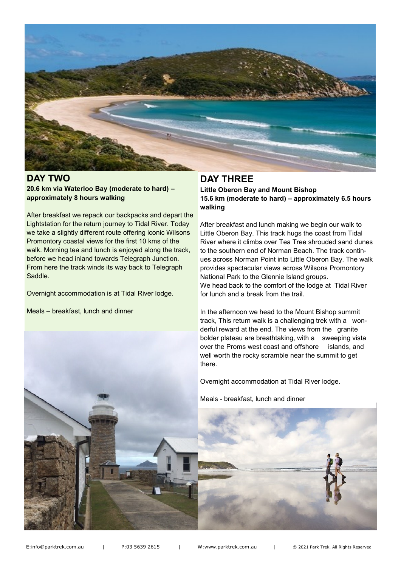

#### **DAY TWO 20.6 km via Waterloo Bay (moderate to hard) – approximately 8 hours walking**

After breakfast we repack our backpacks and depart the Lightstation for the return journey to Tidal River. Today we take a slightly different route offering iconic Wilsons Promontory coastal views for the first 10 kms of the walk. Morning tea and lunch is enjoyed along the track, before we head inland towards Telegraph Junction. From here the track winds its way back to Telegraph Saddle.

Overnight accommodation is at Tidal River lodge.

Meals – breakfast, lunch and dinner

## **DAY THREE**

**Little Oberon Bay and Mount Bishop 15.6 km (moderate to hard) – approximately 6.5 hours walking**

After breakfast and lunch making we begin our walk to Little Oberon Bay. This track hugs the coast from Tidal River where it climbs over Tea Tree shrouded sand dunes to the southern end of Norman Beach. The track continues across Norman Point into Little Oberon Bay. The walk provides spectacular views across Wilsons Promontory National Park to the Glennie Island groups. We head back to the comfort of the lodge at Tidal River for lunch and a break from the trail.

In the afternoon we head to the Mount Bishop summit track, This return walk is a challenging trek with a wonderful reward at the end. The views from the granite bolder plateau are breathtaking, with a sweeping vista over the Proms west coast and offshore islands, and well worth the rocky scramble near the summit to get there.

Overnight accommodation at Tidal River lodge.

Meals - breakfast, lunch and dinner



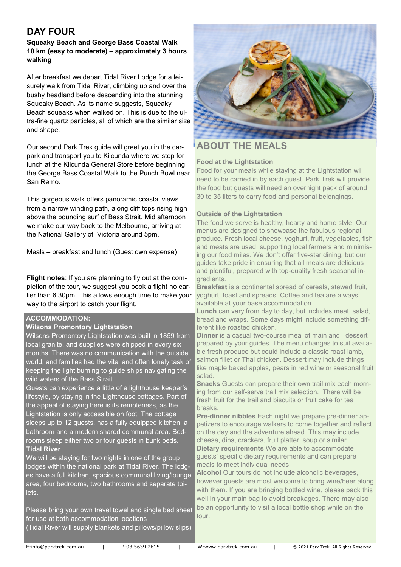## **DAY FOUR**

#### **Squeaky Beach and George Bass Coastal Walk 10 km (easy to moderate) – approximately 3 hours walking**

After breakfast we depart Tidal River Lodge for a leisurely walk from Tidal River, climbing up and over the bushy headland before descending into the stunning Squeaky Beach. As its name suggests, Squeaky Beach squeaks when walked on. This is due to the ultra-fine quartz particles, all of which are the similar size and shape.

Our second Park Trek guide will greet you in the carpark and transport you to Kilcunda where we stop for lunch at the Kilcunda General Store before beginning the George Bass Coastal Walk to the Punch Bowl near San Remo.

This gorgeous walk offers panoramic coastal views from a narrow winding path, along cliff tops rising high above the pounding surf of Bass Strait. Mid afternoon we make our way back to the Melbourne, arriving at the National Gallery of Victoria around 5pm.

Meals – breakfast and lunch (Guest own expense)

**Flight notes**: If you are planning to fly out at the completion of the tour, we suggest you book a flight no earlier than 6.30pm. This allows enough time to make your way to the airport to catch your flight.

#### **ACCOMMODATION:**

#### **Wilsons Promontory Lightstation**

Wilsons Promontory Lightstation was built in 1859 from local granite, and supplies were shipped in every six months. There was no communication with the outside world, and families had the vital and often lonely task of keeping the light burning to guide ships navigating the wild waters of the Bass Strait.

Guests can experience a little of a lighthouse keeper's lifestyle, by staying in the Lighthouse cottages. Part of the appeal of staying here is its remoteness, as the Lightstation is only accessible on foot. The cottage sleeps up to 12 guests, has a fully equipped kitchen, a bathroom and a modern shared communal area. Bedrooms sleep either two or four guests in bunk beds. **Tidal River**

We will be staying for two nights in one of the group lodges within the national park at Tidal River. The lodges have a full kitchen, spacious communal living/lounge area, four bedrooms, two bathrooms and separate toilets.

Please bring your own travel towel and single bed sheet for use at both accommodation locations (Tidal River will supply blankets and pillows/pillow slips)



### **ABOUT THE MEALS**

#### **Food at the Lightstation**

Food for your meals while staying at the Lightstation will need to be carried in by each guest. Park Trek will provide the food but guests will need an overnight pack of around 30 to 35 liters to carry food and personal belongings.

#### **Outside of the Lightstation**

The food we serve is healthy, hearty and home style. Our menus are designed to showcase the fabulous regional produce. Fresh local cheese, yoghurt, fruit, vegetables, fish and meats are used, supporting local farmers and minimising our food miles. We don't offer five-star dining, but our guides take pride in ensuring that all meals are delicious and plentiful, prepared with top-quality fresh seasonal ingredients.

**Breakfast** is a continental spread of cereals, stewed fruit, yoghurt, toast and spreads. Coffee and tea are always available at your base accommodation.

**Lunch** can vary from day to day, but includes meat, salad, bread and wraps. Some days might include something different like roasted chicken.

**Dinner** is a casual two-course meal of main and dessert prepared by your guides. The menu changes to suit available fresh produce but could include a classic roast lamb, salmon fillet or Thai chicken. Dessert may include things like maple baked apples, pears in red wine or seasonal fruit salad.

**Snacks** Guests can prepare their own trail mix each morning from our self-serve trail mix selection. There will be fresh fruit for the trail and biscuits or fruit cake for tea breaks.

**Pre-dinner nibbles** Each night we prepare pre-dinner appetizers to encourage walkers to come together and reflect on the day and the adventure ahead. This may include cheese, dips, crackers, fruit platter, soup or similar **Dietary requirements** We are able to accommodate guests' specific dietary requirements and can prepare meals to meet individual needs.

**Alcohol** Our tours do not include alcoholic beverages, however guests are most welcome to bring wine/beer along with them. If you are bringing bottled wine, please pack this well in your main bag to avoid breakages. There may also be an opportunity to visit a local bottle shop while on the tour.